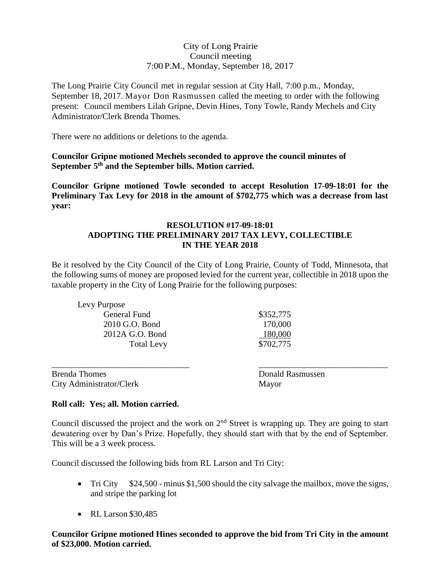### City of Long Prairie Council meeting 7:00 P.M., Monday, September 18, 2017

The Long Prairie City Council met in regular session at City Hall, 7:00 p.m., Monday, September 18, 2017. Mayor Don Rasmussen called the meeting to order with the following present: Council members Lilah Gripne, Devin Hines, Tony Towle, Randy Mechels and City Administrator/Clerk Brenda Thomes.

There were no additions or deletions to the agenda.

**Councilor Gripne motioned Mechels seconded to approve the council minutes of September 5th and the September bills. Motion carried.**

**Councilor Gripne motioned Towle seconded to accept Resolution 17-09-18:01 for the Preliminary Tax Levy for 2018 in the amount of \$702,775 which was a decrease from last year:**

#### **RESOLUTION #17-09-18:01 ADOPTING THE PRELIMINARY 2017 TAX LEVY, COLLECTIBLE IN THE YEAR 2018**

Be it resolved by the City Council of the City of Long Prairie, County of Todd, Minnesota, that the following sums of money are proposed levied for the current year, collectible in 2018 upon the taxable property in the City of Long Prairie for the following purposes:

Levy Purpose General Fund \$352,775 2010 G.O. Bond 170,000 2012A G.O. Bond 180,000 Total Levy \$702,775

Brenda Thomes **Brenda Thomes** Donald Rasmussen City Administrator/Clerk Mayor

### **Roll call: Yes; all. Motion carried.**

Council discussed the project and the work on 2<sup>nd</sup> Street is wrapping up. They are going to start dewatering over by Dan's Prize. Hopefully, they should start with that by the end of September. This will be a 3 week process.

\_\_\_\_\_\_\_\_\_\_\_\_\_\_\_\_\_\_\_\_\_\_\_\_\_\_\_\_\_\_\_\_ \_\_\_\_\_\_\_\_\_\_\_\_\_\_\_\_\_\_\_\_\_\_\_\_\_\_\_\_\_\_

Council discussed the following bids from RL Larson and Tri City:

- Tri City  $$24,500$  minus \$1,500 should the city salvage the mailbox, move the signs, and stripe the parking lot
- $\bullet$  RL Larson \$30.485

## **Councilor Gripne motioned Hines seconded to approve the bid from Tri City in the amount of \$23,000. Motion carried.**